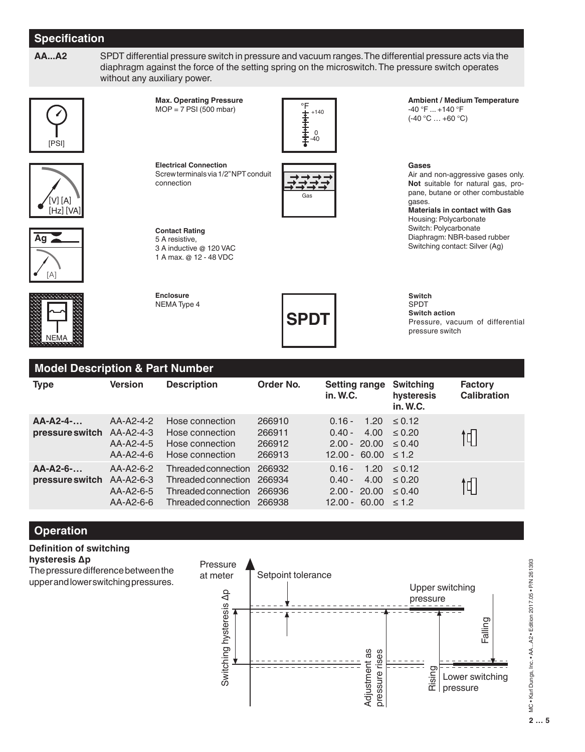# **Specification**

**AA...A2** SPDT differential pressure switch in pressure and vacuum ranges. The differential pressure acts via the diaphragm against the force of the setting spring on the microswitch. The pressure switch operates without any auxiliary power.





**Max. Operating Pressure**  $MOP = 7$  PSI (500 mbar)



**Electrical Connection** Screw terminals via 1/2" NPT conduit connection



**Ambient / Medium Temperature** -40 °F ... +140 °F  $(-40 °C ... +60 °C)$ 

Air and non-aggressive gases only. **Not** suitable for natural gas, propane, butane or other combustable

**Materials in contact with Gas** Housing: Polycarbonate Switch: Polycarbonate Diaphragm: NBR-based rubber Switching contact: Silver (Ag)

**Gases**

gases.





**Enclosure** NEMA Type 4

**Contact Rating** 5 A resistive,

3 A inductive @ 120 VAC 1 A max. @ 12 - 48 VDC



**Switch** SPDT **Switch action** Pressure, vacuum of differential pressure switch

| <b>Model Description &amp; Part Number</b> |                                                      |                                                                                          |                                      |                                                                                   |                                              |                                      |  |
|--------------------------------------------|------------------------------------------------------|------------------------------------------------------------------------------------------|--------------------------------------|-----------------------------------------------------------------------------------|----------------------------------------------|--------------------------------------|--|
| <b>Type</b>                                | <b>Version</b>                                       | <b>Description</b>                                                                       | Order No.                            | <b>Setting range</b><br>in. W.C.                                                  | <b>Switching</b><br>hysteresis<br>in. W.C.   | <b>Factory</b><br><b>Calibration</b> |  |
| $AA-A2-4-$<br>pressure switch              | $AA-A2-4-2$<br>AA-A2-4-3<br>AA-A2-4-5<br>$AA-A2-4-6$ | Hose connection<br>Hose connection<br>Hose connection<br>Hose connection                 | 266910<br>266911<br>266912<br>266913 | 1.20<br>$0.16 -$<br>$0.40 -$<br>$2.00 - 20.00$<br>$12.00 - 60.00 \le 1.2$         | $\leq 0.12$<br>$4.00 \le 0.20$<br>$\le 0.40$ |                                      |  |
| $AA-A2-6-$<br>pressure switch              | $AA-A2-6-2$<br>AA-A2-6-3<br>AA-A2-6-5<br>$AA-A2-6-6$ | Threaded connection<br>Threaded connection<br>Threaded connection<br>Threaded connection | 266932<br>266934<br>266936<br>266938 | 1.20<br>$0.16 -$<br>$0.40 -$<br>4.00<br>$2.00 - 20.00$<br>$12.00 - 60.00 \le 1.2$ | $\le 0.12$<br>< 0.20<br>$\le 0.40$           | 1ן                                   |  |

# **Operation**

# **Definition of switching hysteresis ∆p**

The pressure difference between the upper and lower switching pressures.



**2 2 … 5** MC • Karl Dungs, Inc. • AA...A2 • Edition 2017.05 • P/N 261393<br>**3**<br>**3 3 3 3**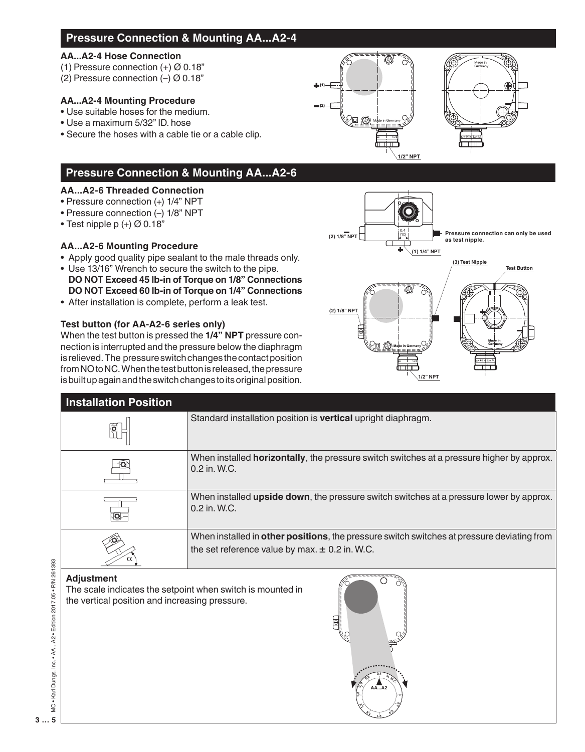# **Pressure Connection & Mounting AA...A2-4**

#### **AA...A2-4 Hose Connection**

- (1) Pressure connection  $(+)$   $\varnothing$  0.18"
- (2) Pressure connection (–) Ø 0.18"

# **AA...A2-4 Mounting Procedure**

- Use suitable hoses for the medium.
- Use a maximum 5/32" ID. hose
- Secure the hoses with a cable tie or a cable clip.

# **Pressure Connection & Mounting AA...A2-6**

## **AA...A2-6 Threaded Connection**

- Pressure connection (+) 1/4" NPT
- Pressure connection (–) 1/8" NPT
- Test nipple p  $(+)$  Ø 0.18"

# **AA...A2-6 Mounting Procedure**

- Apply good quality pipe sealant to the male threads only.
- Use 13/16" Wrench to secure the switch to the pipe.  **DO NOT Exceed 45 lb-in of Torque on 1/8" Connections DO NOT Exceed 60 lb-in of Torque on 1/4" Connections**
- After installation is complete, perform a leak test.

## **Test button (for AA-A2-6 series only)**

When the test button is pressed the **1/4" NPT** pressure connection is interrupted and the pressure below the diaphragm is relieved. The pressure switch changes the contact position from NO to NC. When the test button is released, the pressure is built up again and the switch changes to its original position.



| <b>Installation Position</b> |                                                                                                                                                  |
|------------------------------|--------------------------------------------------------------------------------------------------------------------------------------------------|
|                              | Standard installation position is <b>vertical</b> upright diaphragm.                                                                             |
|                              | When installed <b>horizontally</b> , the pressure switch switches at a pressure higher by approx.<br>$0.2$ in $W.C.$                             |
| 10I                          | When installed <b>upside down</b> , the pressure switch switches at a pressure lower by approx.<br>0.2 in. W.C.                                  |
|                              | When installed in other positions, the pressure switch switches at pressure deviating from<br>the set reference value by max. $\pm$ 0.2 in. W.C. |
| <b>Adjustment</b>            |                                                                                                                                                  |

(1)

(2)

The scale indicates the setpoint when switch is mounted in the vertical position and increasing pressure.

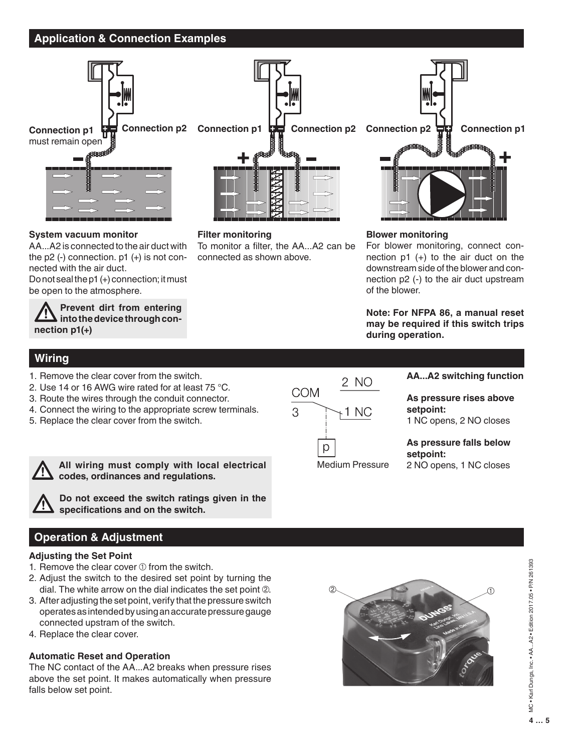# **Application & Connection Examples**



AA...A2 is connected to the air duct with the  $p2$  (-) connection.  $p1$  (+) is not con-

Do not seal the p1 (+) connection; it must

**Prevent dirt from entering l** into the device through con-

**System vacuum monitor**

nected with the air duct.

be open to the atmosphere.

#### **Filter monitoring**

To monitor a filter, the AA...A2 can be connected as shown above.



#### **Blower monitoring**

For blower monitoring, connect connection  $p1 (+)$  to the air duct on the downstream side of the blower and connection p2 (-) to the air duct upstream of the blower.

**Note: For NFPA 86, a manual reset may be required if this switch trips during operation.**

## **Wiring**

**nection p1(+)**

- 1. Remove the clear cover from the switch.
- 2. Use 14 or 16 AWG wire rated for at least 75 °C.
- 3. Route the wires through the conduit connector.
- 4. Connect the wiring to the appropriate screw terminals.
- 5. Replace the clear cover from the switch.



**All wiring must comply with local electrical codes, ordinances and regulations.**

**Do not exceed the switch ratings given in the specifications and on the switch.**

# **Operation & Adjustment**

#### **Adjusting the Set Point**

- 1. Remove the clear cover  $\odot$  from the switch.
- 2. Adjust the switch to the desired set point by turning the dial. The white arrow on the dial indicates the set point 2.
- 3. After adjusting the set point, verify that the pressure switch operates as intended by using an accurate pressure gauge connected upstram of the switch.
- 4. Replace the clear cover.

#### **Automatic Reset and Operation**

The NC contact of the AA...A2 breaks when pressure rises above the set point. It makes automatically when pressure falls below set point.



**AA...A2 switching function**

**As pressure rises above setpoint:** 1 NC opens, 2 NO closes

**As pressure falls below setpoint:**

2 NO opens, 1 NC closes



**4 … 5 5 … 5** MC • Karl Dungs, Inc. • AA...A2 • Edition 2017.05 • P/N 261393